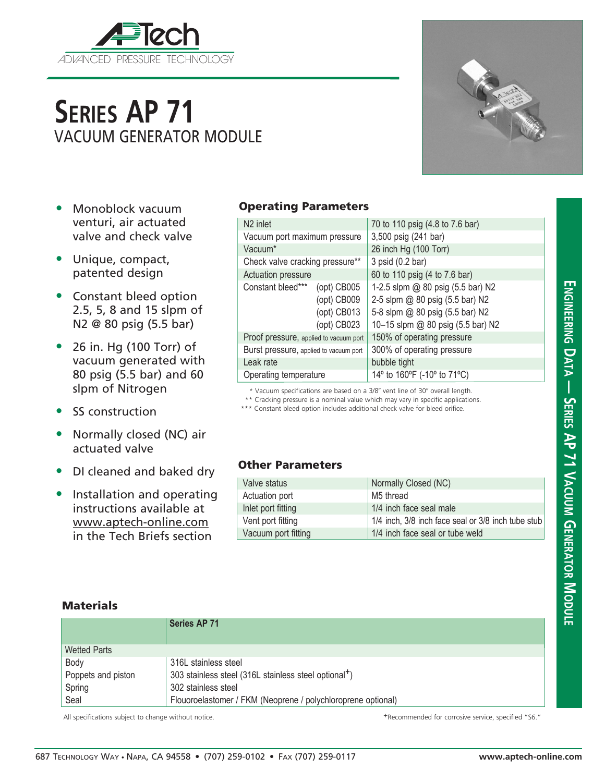

# **Series AP 71** VACUUM GENERATOR MODULE

- Monoblock vacuum venturi, air actuated valve and check valve
- Unique, compact, patented design
- Constant bleed option 2.5, 5, 8 and 15 slpm of N2 @ 80 psig (5.5 bar)
- 26 in. Hg (100 Torr) of vacuum generated with 80 psig (5.5 bar) and 60 slpm of Nitrogen
- SS construction
- Normally closed (NC) air actuated valve
- DI cleaned and baked dry
- Installation and operating instructions available at www.aptech-online.com in the Tech Briefs section

## Operating Parameters

| N <sub>2</sub> inlet                   |                   | 70 to 110 psig (4.8 to 7.6 bar)   |  |  |
|----------------------------------------|-------------------|-----------------------------------|--|--|
| Vacuum port maximum pressure           |                   | 3,500 psig (241 bar)              |  |  |
| Vacuum*                                |                   | 26 inch Hg (100 Torr)             |  |  |
| Check valve cracking pressure**        |                   | 3 psid (0.2 bar)                  |  |  |
| Actuation pressure                     |                   | 60 to 110 psig (4 to 7.6 bar)     |  |  |
| Constant bleed*** (opt) CB005          |                   | 1-2.5 slpm @ 80 psig (5.5 bar) N2 |  |  |
|                                        | (opt) CB009       | 2-5 slpm @ 80 psig (5.5 bar) N2   |  |  |
|                                        | (opt) CB013       | 5-8 slpm @ 80 psig (5.5 bar) N2   |  |  |
|                                        | $($ opt $)$ CB023 | 10-15 slpm @ 80 psig (5.5 bar) N2 |  |  |
| Proof pressure, applied to vacuum port |                   | 150% of operating pressure        |  |  |
| Burst pressure, applied to vacuum port |                   | 300% of operating pressure        |  |  |
| Leak rate                              |                   | bubble tight                      |  |  |
| Operating temperature                  |                   | 14° to 160°F (-10° to 71°C)       |  |  |

\* Vacuum specifications are based on a 3/8" vent line of 30" overall length.

\*\* Cracking pressure is a nominal value which may vary in specific applications.

\*\*\* Constant bleed option includes additional check valve for bleed orifice.

#### Other Parameters

| Valve status        | Normally Closed (NC)                               |
|---------------------|----------------------------------------------------|
| Actuation port      | M5 thread                                          |
| Inlet port fitting  | 1/4 inch face seal male                            |
| Vent port fitting   | 1/4 inch, 3/8 inch face seal or 3/8 inch tube stub |
| Vacuum port fitting | 1/4 inch face seal or tube weld                    |

### **Materials**

|                     | <b>Series AP 71</b>                                               |
|---------------------|-------------------------------------------------------------------|
| <b>Wetted Parts</b> |                                                                   |
| Body                | 316L stainless steel                                              |
| Poppets and piston  | 303 stainless steel (316L stainless steel optional <sup>+</sup> ) |
| Spring              | 302 stainless steel                                               |
| Seal                | Flouoroelastomer / FKM (Neoprene / polychloroprene optional)      |

All specifications subject to change without notice.  $+$ Recommended for corrosive service, specified "S6."